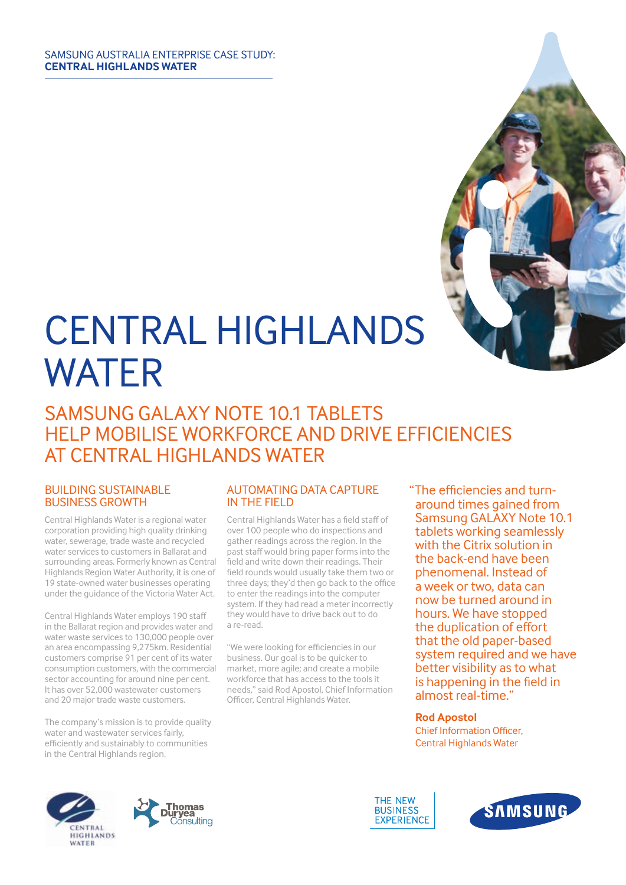#### SAMSUNG AUSTRALIA ENTERPRISE CASE STUDY: **CENTRAL HIGHLANDS WATER**



# SAMSUNG GALAXY NOTE 10.1 TABLETS HELP MOBILISE WORKFORCE AND DRIVE EFFICIENCIES AT CENTRAL HIGHLANDS WATER

#### BUILDING SUSTAINABLE BUSINESS GROWTH

Central Highlands Water is a regional water corporation providing high quality drinking water, sewerage, trade waste and recycled water services to customers in Ballarat and surrounding areas. Formerly known as Central Highlands Region Water Authority, it is one of 19 state-owned water businesses operating under the guidance of the Victoria Water Act.

Central Highlands Water employs 190 staff in the Ballarat region and provides water and water waste services to 130,000 people over an area encompassing 9,275km. Residential customers comprise 91 per cent of its water consumption customers, with the commercial sector accounting for around nine per cent. It has over 52,000 wastewater customers and 20 major trade waste customers.

The company's mission is to provide quality water and wastewater services fairly, efficiently and sustainably to communities in the Central Highlands region.

### AUTOMATING DATA CAPTURE IN THE FIELD

Central Highlands Water has a field staff of over 100 people who do inspections and gather readings across the region. In the past staff would bring paper forms into the field and write down their readings. Their field rounds would usually take them two or three days; they'd then go back to the office to enter the readings into the computer system. If they had read a meter incorrectly they would have to drive back out to do a re-read.

"We were looking for efficiencies in our business. Our goal is to be quicker to market, more agile; and create a mobile workforce that has access to the tools it needs," said Rod Apostol, Chief Information Officer, Central Highlands Water.

"The efficiencies and turnaround times gained from Samsung GALAXY Note 10.1 tablets working seamlessly with the Citrix solution in the back-end have been phenomenal. Instead of a week or two, data can now be turned around in hours. We have stopped the duplication of effort that the old paper-based system required and we have better visibility as to what is happening in the field in almost real-time."

**Rod Apostol** Chief Information Officer, Central Highlands Water